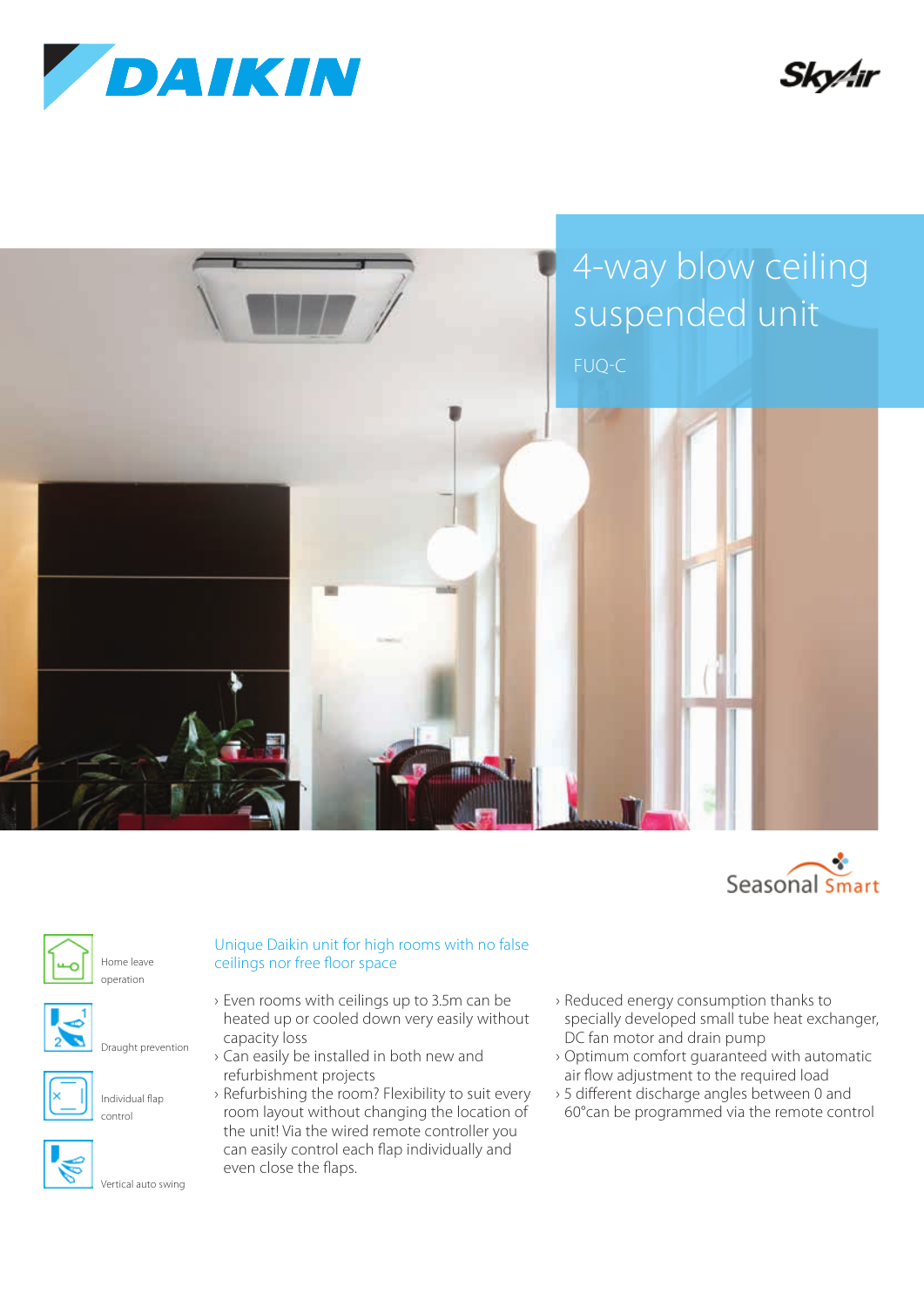









Home leave operation



Draught prevention



Individual flap control



Vertical auto swing

## Unique Daikin unit for high rooms with no false ceilings nor free floor space

- › Even rooms with ceilings up to 3.5m can be heated up or cooled down very easily without capacity loss
- › Can easily be installed in both new and refurbishment projects
- › Refurbishing the room? Flexibility to suit every room layout without changing the location of the unit! Via the wired remote controller you can easily control each flap individually and even close the flaps.
- › Reduced energy consumption thanks to specially developed small tube heat exchanger, DC fan motor and drain pump
- › Optimum comfort guaranteed with automatic air flow adjustment to the required load
- › 5 different discharge angles between 0 and 60°can be programmed via the remote control